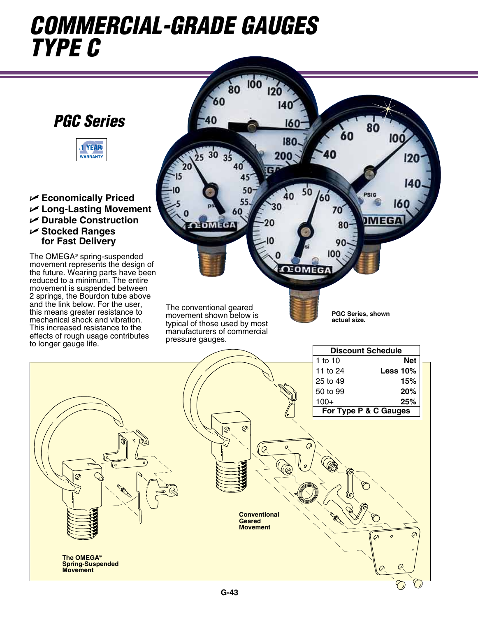# *commercial-grade gauges type C*





U **Economically Priced** U **Long-Lasting Movement** U **Durable Construction** U **Stocked Ranges for Fast Delivery**

The OMEGA® spring-suspended movement represents the design of the future. Wearing parts have been reduced to a minimum. The entire movement is suspended between 2 springs, the Bourdon tube above and the link below. For the user, this means greater resistance to mechanical shock and vibration. This increased resistance to the effects of rough usage contributes to longer gauge life.